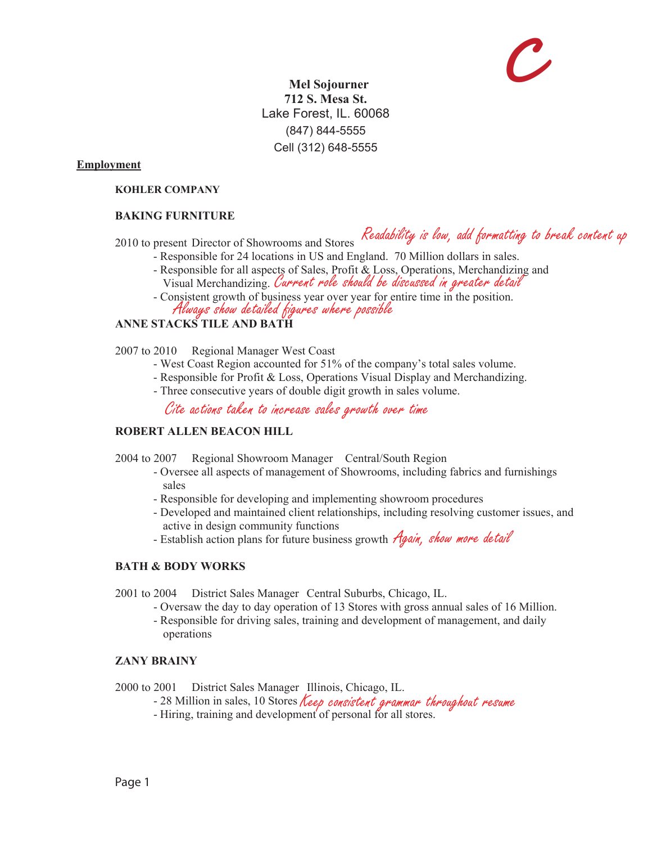# **C**

 **Mel Sojourner 712 S. Mesa St.** Lake Forest, IL. 60068 (847) 844-5555 Cell (312) 648-5555

**Employment**

#### **KOHLER COMPANY**

#### **BAKING FURNITURE**

## 2010 to present Director of Showrooms and Stores Readability is low, add formatting to break content up

- Responsible for 24 locations in US and England. 70 Million dollars in sales.
	- Responsible for all aspects of Sales, Profit & Loss, Operations, Merchandizing and Visual Merchandizing. Current role should be discussed in greater detail
	- Consistent growth of business year over year for entire time in the position. Always show detailed figures where possible

#### **ANNE STACKS TILE AND BATH**

- 2007 to 2010 Regional Manager West Coast
	- West Coast Region accounted for 51% of the company's total sales volume.
	- Responsible for Profit & Loss, Operations Visual Display and Merchandizing.
	- Three consecutive years of double digit growth in sales volume.

Cite actions taken to increase sales growth over time

#### **ROBERT ALLEN BEACON HILL**

- 2004 to 2007 Regional Showroom Manager Central/South Region
	- Oversee all aspects of management of Showrooms, including fabrics and furnishings sales
	- Responsible for developing and implementing showroom procedures
	- Developed and maintained client relationships, including resolving customer issues, and active in design community functions
	- **Extract France of Community Transferred** Extended by the *Again, show more detail*

#### **BATH & BODY WORKS**

2001 to 2004 District Sales Manager Central Suburbs, Chicago, IL.

- Oversaw the day to day operation of 13 Stores with gross annual sales of 16 Million.
- Responsible for driving sales, training and development of management, and daily operations

#### **ZANY BRAINY**

2000 to 2001 District Sales Manager Illinois, Chicago, IL.

- 28 Million in sales, 10 Stores Keep consistent grammar throughout resume
- Hiring, training and development of personal for all stores.